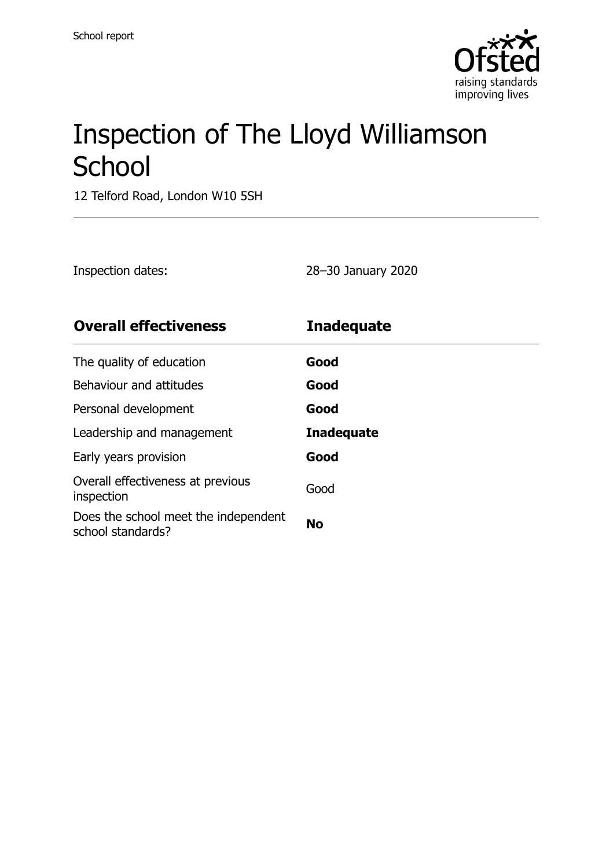

# Inspection of The Lloyd Williamson **School**

12 Telford Road, London W10 5SH

Inspection dates: 28–30 January 2020

| <b>Overall effectiveness</b>                              | <b>Inadequate</b> |
|-----------------------------------------------------------|-------------------|
| The quality of education                                  | Good              |
| Behaviour and attitudes                                   | Good              |
| Personal development                                      | Good              |
| Leadership and management                                 | <b>Inadequate</b> |
| Early years provision                                     | Good              |
| Overall effectiveness at previous<br>inspection           | Good              |
| Does the school meet the independent<br>school standards? | <b>No</b>         |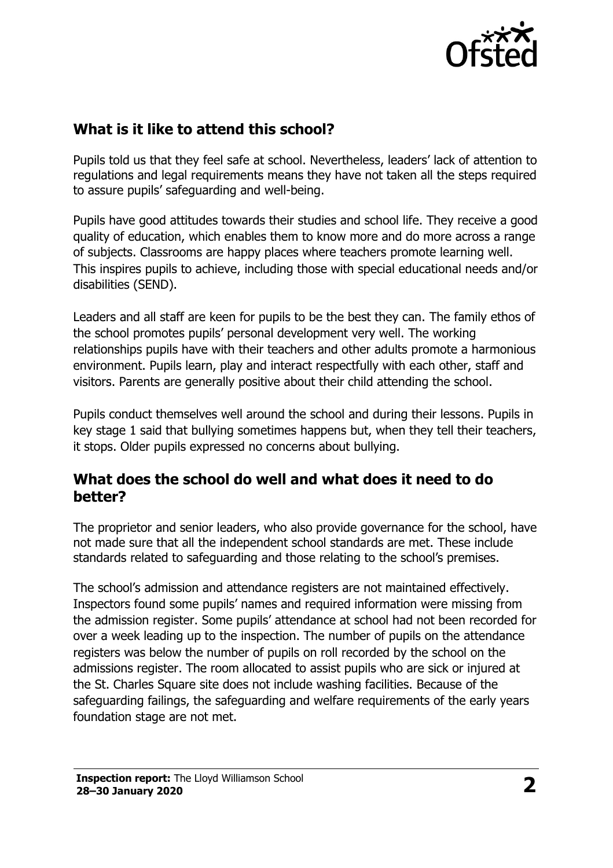

# **What is it like to attend this school?**

Pupils told us that they feel safe at school. Nevertheless, leaders' lack of attention to regulations and legal requirements means they have not taken all the steps required to assure pupils' safeguarding and well-being.

Pupils have good attitudes towards their studies and school life. They receive a good quality of education, which enables them to know more and do more across a range of subjects. Classrooms are happy places where teachers promote learning well. This inspires pupils to achieve, including those with special educational needs and/or disabilities (SEND).

Leaders and all staff are keen for pupils to be the best they can. The family ethos of the school promotes pupils' personal development very well. The working relationships pupils have with their teachers and other adults promote a harmonious environment. Pupils learn, play and interact respectfully with each other, staff and visitors. Parents are generally positive about their child attending the school.

Pupils conduct themselves well around the school and during their lessons. Pupils in key stage 1 said that bullying sometimes happens but, when they tell their teachers, it stops. Older pupils expressed no concerns about bullying.

## **What does the school do well and what does it need to do better?**

The proprietor and senior leaders, who also provide governance for the school, have not made sure that all the independent school standards are met. These include standards related to safeguarding and those relating to the school's premises.

The school's admission and attendance registers are not maintained effectively. Inspectors found some pupils' names and required information were missing from the admission register. Some pupils' attendance at school had not been recorded for over a week leading up to the inspection. The number of pupils on the attendance registers was below the number of pupils on roll recorded by the school on the admissions register. The room allocated to assist pupils who are sick or injured at the St. Charles Square site does not include washing facilities. Because of the safeguarding failings, the safeguarding and welfare requirements of the early years foundation stage are not met.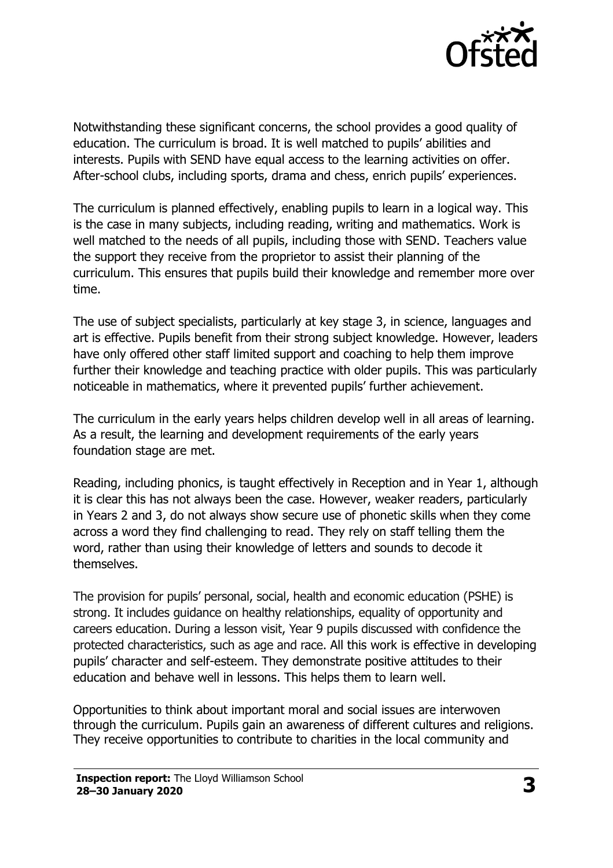

Notwithstanding these significant concerns, the school provides a good quality of education. The curriculum is broad. It is well matched to pupils' abilities and interests. Pupils with SEND have equal access to the learning activities on offer. After-school clubs, including sports, drama and chess, enrich pupils' experiences.

The curriculum is planned effectively, enabling pupils to learn in a logical way. This is the case in many subjects, including reading, writing and mathematics. Work is well matched to the needs of all pupils, including those with SEND. Teachers value the support they receive from the proprietor to assist their planning of the curriculum. This ensures that pupils build their knowledge and remember more over time.

The use of subject specialists, particularly at key stage 3, in science, languages and art is effective. Pupils benefit from their strong subject knowledge. However, leaders have only offered other staff limited support and coaching to help them improve further their knowledge and teaching practice with older pupils. This was particularly noticeable in mathematics, where it prevented pupils' further achievement.

The curriculum in the early years helps children develop well in all areas of learning. As a result, the learning and development requirements of the early years foundation stage are met.

Reading, including phonics, is taught effectively in Reception and in Year 1, although it is clear this has not always been the case. However, weaker readers, particularly in Years 2 and 3, do not always show secure use of phonetic skills when they come across a word they find challenging to read. They rely on staff telling them the word, rather than using their knowledge of letters and sounds to decode it themselves.

The provision for pupils' personal, social, health and economic education (PSHE) is strong. It includes guidance on healthy relationships, equality of opportunity and careers education. During a lesson visit, Year 9 pupils discussed with confidence the protected characteristics, such as age and race. All this work is effective in developing pupils' character and self-esteem. They demonstrate positive attitudes to their education and behave well in lessons. This helps them to learn well.

Opportunities to think about important moral and social issues are interwoven through the curriculum. Pupils gain an awareness of different cultures and religions. They receive opportunities to contribute to charities in the local community and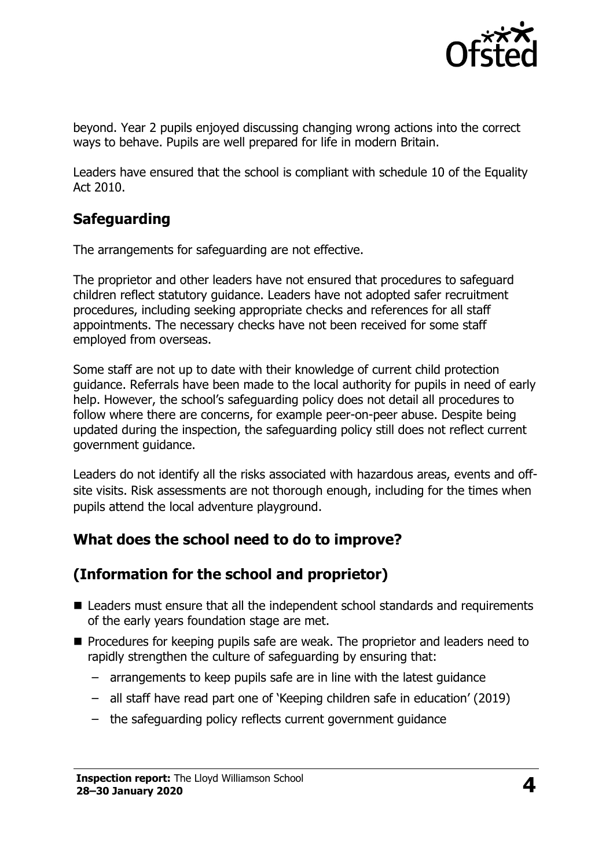

beyond. Year 2 pupils enjoyed discussing changing wrong actions into the correct ways to behave. Pupils are well prepared for life in modern Britain.

Leaders have ensured that the school is compliant with schedule 10 of the Equality Act 2010.

# **Safeguarding**

The arrangements for safeguarding are not effective.

The proprietor and other leaders have not ensured that procedures to safeguard children reflect statutory guidance. Leaders have not adopted safer recruitment procedures, including seeking appropriate checks and references for all staff appointments. The necessary checks have not been received for some staff employed from overseas.

Some staff are not up to date with their knowledge of current child protection guidance. Referrals have been made to the local authority for pupils in need of early help. However, the school's safeguarding policy does not detail all procedures to follow where there are concerns, for example peer-on-peer abuse. Despite being updated during the inspection, the safeguarding policy still does not reflect current government guidance.

Leaders do not identify all the risks associated with hazardous areas, events and offsite visits. Risk assessments are not thorough enough, including for the times when pupils attend the local adventure playground.

# **What does the school need to do to improve?**

# **(Information for the school and proprietor)**

- Leaders must ensure that all the independent school standards and requirements of the early years foundation stage are met.
- **Procedures for keeping pupils safe are weak. The proprietor and leaders need to** rapidly strengthen the culture of safeguarding by ensuring that:
	- arrangements to keep pupils safe are in line with the latest guidance
	- all staff have read part one of 'Keeping children safe in education' (2019)
	- the safeguarding policy reflects current government guidance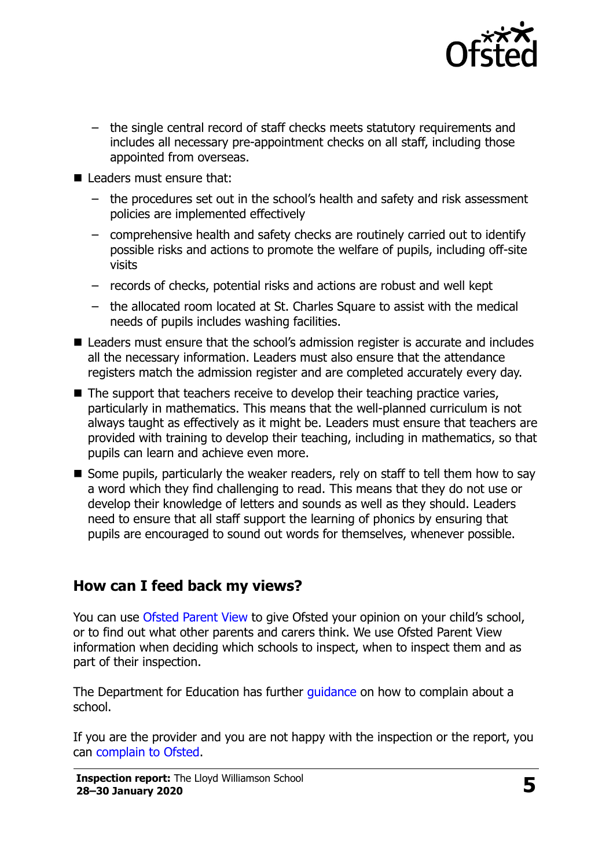

- the single central record of staff checks meets statutory requirements and includes all necessary pre-appointment checks on all staff, including those appointed from overseas.
- Leaders must ensure that:
	- the procedures set out in the school's health and safety and risk assessment policies are implemented effectively
	- comprehensive health and safety checks are routinely carried out to identify possible risks and actions to promote the welfare of pupils, including off-site visits
	- records of checks, potential risks and actions are robust and well kept
	- the allocated room located at St. Charles Square to assist with the medical needs of pupils includes washing facilities.
- Leaders must ensure that the school's admission register is accurate and includes all the necessary information. Leaders must also ensure that the attendance registers match the admission register and are completed accurately every day.
- $\blacksquare$  The support that teachers receive to develop their teaching practice varies, particularly in mathematics. This means that the well-planned curriculum is not always taught as effectively as it might be. Leaders must ensure that teachers are provided with training to develop their teaching, including in mathematics, so that pupils can learn and achieve even more.
- Some pupils, particularly the weaker readers, rely on staff to tell them how to say a word which they find challenging to read. This means that they do not use or develop their knowledge of letters and sounds as well as they should. Leaders need to ensure that all staff support the learning of phonics by ensuring that pupils are encouraged to sound out words for themselves, whenever possible.

## **How can I feed back my views?**

You can use [Ofsted Parent View](http://parentview.ofsted.gov.uk/) to give Ofsted your opinion on your child's school, or to find out what other parents and carers think. We use Ofsted Parent View information when deciding which schools to inspect, when to inspect them and as part of their inspection.

The Department for Education has further quidance on how to complain about a school.

If you are the provider and you are not happy with the inspection or the report, you can [complain to Ofsted.](http://www.gov.uk/complain-ofsted-report)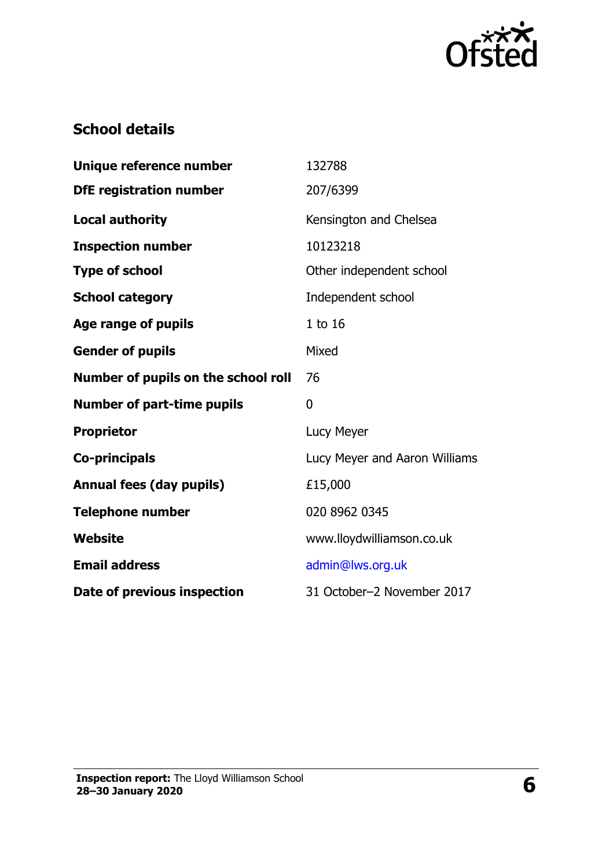

# **School details**

| Unique reference number             | 132788                        |
|-------------------------------------|-------------------------------|
| <b>DfE</b> registration number      | 207/6399                      |
| <b>Local authority</b>              | Kensington and Chelsea        |
| <b>Inspection number</b>            | 10123218                      |
| <b>Type of school</b>               | Other independent school      |
| <b>School category</b>              | Independent school            |
| Age range of pupils                 | 1 to 16                       |
| <b>Gender of pupils</b>             | Mixed                         |
| Number of pupils on the school roll | 76                            |
| <b>Number of part-time pupils</b>   | 0                             |
| <b>Proprietor</b>                   | Lucy Meyer                    |
| <b>Co-principals</b>                | Lucy Meyer and Aaron Williams |
| <b>Annual fees (day pupils)</b>     | £15,000                       |
| <b>Telephone number</b>             | 020 8962 0345                 |
| <b>Website</b>                      | www.lloydwilliamson.co.uk     |
| <b>Email address</b>                | admin@lws.org.uk              |
| Date of previous inspection         | 31 October-2 November 2017    |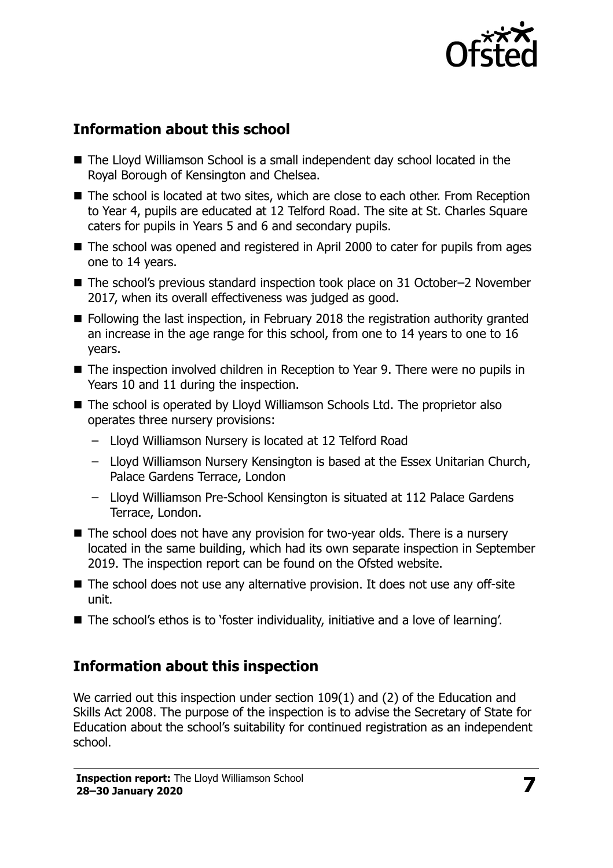

# **Information about this school**

- The Lloyd Williamson School is a small independent day school located in the Royal Borough of Kensington and Chelsea.
- The school is located at two sites, which are close to each other. From Reception to Year 4, pupils are educated at 12 Telford Road. The site at St. Charles Square caters for pupils in Years 5 and 6 and secondary pupils.
- The school was opened and registered in April 2000 to cater for pupils from ages one to 14 years.
- The school's previous standard inspection took place on 31 October–2 November 2017, when its overall effectiveness was judged as good.
- Following the last inspection, in February 2018 the registration authority granted an increase in the age range for this school, from one to 14 years to one to 16 years.
- The inspection involved children in Reception to Year 9. There were no pupils in Years 10 and 11 during the inspection.
- The school is operated by Lloyd Williamson Schools Ltd. The proprietor also operates three nursery provisions:
	- Lloyd Williamson Nursery is located at 12 Telford Road
	- Lloyd Williamson Nursery Kensington is based at the Essex Unitarian Church, Palace Gardens Terrace, London
	- Lloyd Williamson Pre-School Kensington is situated at 112 Palace Gardens Terrace, London.
- The school does not have any provision for two-year olds. There is a nursery located in the same building, which had its own separate inspection in September 2019. The inspection report can be found on the Ofsted website.
- The school does not use any alternative provision. It does not use any off-site unit.
- The school's ethos is to 'foster individuality, initiative and a love of learning'.

## **Information about this inspection**

We carried out this inspection under section 109(1) and (2) of the Education and Skills Act 2008. The purpose of the inspection is to advise the Secretary of State for Education about the school's suitability for continued registration as an independent school.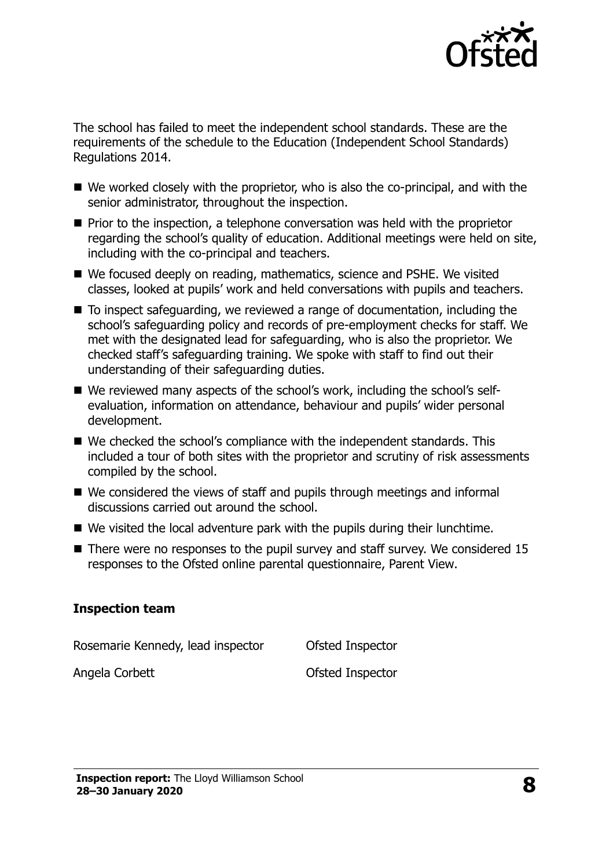

The school has failed to meet the independent school standards. These are the requirements of the schedule to the Education (Independent School Standards) Regulations 2014.

- We worked closely with the proprietor, who is also the co-principal, and with the senior administrator, throughout the inspection.
- **Prior to the inspection, a telephone conversation was held with the proprietor** regarding the school's quality of education. Additional meetings were held on site, including with the co-principal and teachers.
- We focused deeply on reading, mathematics, science and PSHE. We visited classes, looked at pupils' work and held conversations with pupils and teachers.
- To inspect safeguarding, we reviewed a range of documentation, including the school's safeguarding policy and records of pre-employment checks for staff. We met with the designated lead for safeguarding, who is also the proprietor. We checked staff's safeguarding training. We spoke with staff to find out their understanding of their safeguarding duties.
- We reviewed many aspects of the school's work, including the school's selfevaluation, information on attendance, behaviour and pupils' wider personal development.
- We checked the school's compliance with the independent standards. This included a tour of both sites with the proprietor and scrutiny of risk assessments compiled by the school.
- We considered the views of staff and pupils through meetings and informal discussions carried out around the school.
- We visited the local adventure park with the pupils during their lunchtime.
- $\blacksquare$  There were no responses to the pupil survey and staff survey. We considered 15 responses to the Ofsted online parental questionnaire, Parent View.

#### **Inspection team**

| Rosemarie Kennedy, lead inspector | Ofsted Inspector |
|-----------------------------------|------------------|
| Angela Corbett                    | Ofsted Inspector |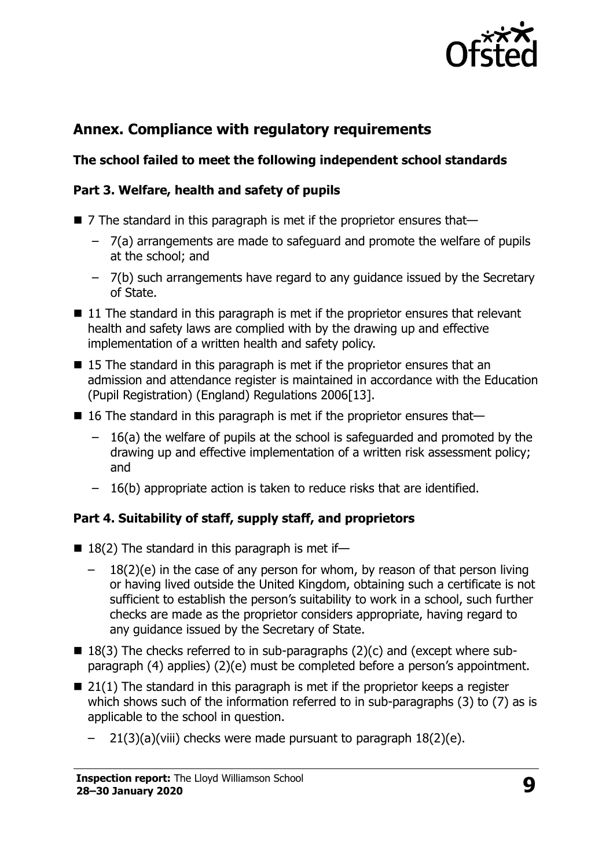

# **Annex. Compliance with regulatory requirements**

## **The school failed to meet the following independent school standards**

#### **Part 3. Welfare, health and safety of pupils**

- $\blacksquare$  7 The standard in this paragraph is met if the proprietor ensures that-
	- $-$  7(a) arrangements are made to safeguard and promote the welfare of pupils at the school; and
	- ‒ 7(b) such arrangements have regard to any guidance issued by the Secretary of State.
- $\blacksquare$  11 The standard in this paragraph is met if the proprietor ensures that relevant health and safety laws are complied with by the drawing up and effective implementation of a written health and safety policy.
- 15 The standard in this paragraph is met if the proprietor ensures that an admission and attendance register is maintained in accordance with the Education (Pupil Registration) (England) Regulations 2006[13].
- $\blacksquare$  16 The standard in this paragraph is met if the proprietor ensures that-
	- ‒ 16(a) the welfare of pupils at the school is safeguarded and promoted by the drawing up and effective implementation of a written risk assessment policy; and
	- $-16(b)$  appropriate action is taken to reduce risks that are identified.

## **Part 4. Suitability of staff, supply staff, and proprietors**

- $18(2)$  The standard in this paragraph is met if-
	- $18(2)(e)$  in the case of any person for whom, by reason of that person living or having lived outside the United Kingdom, obtaining such a certificate is not sufficient to establish the person's suitability to work in a school, such further checks are made as the proprietor considers appropriate, having regard to any guidance issued by the Secretary of State.
- $\blacksquare$  18(3) The checks referred to in sub-paragraphs (2)(c) and (except where subparagraph (4) applies) (2)(e) must be completed before a person's appointment.
- $\blacksquare$  21(1) The standard in this paragraph is met if the proprietor keeps a register which shows such of the information referred to in sub-paragraphs (3) to (7) as is applicable to the school in question.
	- $21(3)(a)(viii)$  checks were made pursuant to paragraph  $18(2)(e)$ .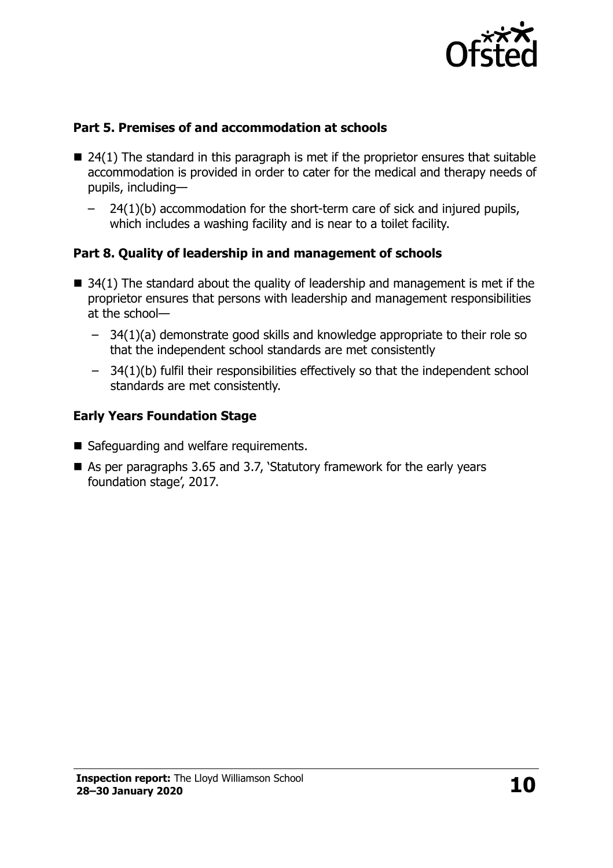

#### **Part 5. Premises of and accommodation at schools**

- $\blacksquare$  24(1) The standard in this paragraph is met if the proprietor ensures that suitable accommodation is provided in order to cater for the medical and therapy needs of pupils, including—
	- ‒ 24(1)(b) accommodation for the short-term care of sick and injured pupils, which includes a washing facility and is near to a toilet facility.

## **Part 8. Quality of leadership in and management of schools**

- $\blacksquare$  34(1) The standard about the quality of leadership and management is met if the proprietor ensures that persons with leadership and management responsibilities at the school—
	- $-$  34(1)(a) demonstrate good skills and knowledge appropriate to their role so that the independent school standards are met consistently
	- $-$  34(1)(b) fulfil their responsibilities effectively so that the independent school standards are met consistently.

## **Early Years Foundation Stage**

- Safeguarding and welfare requirements.
- As per paragraphs 3.65 and 3.7, 'Statutory framework for the early years foundation stage', 2017.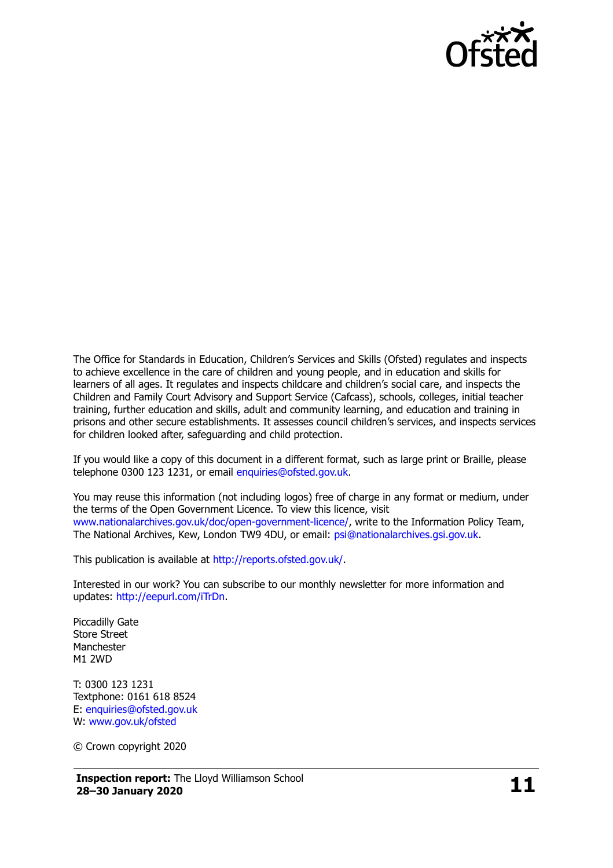

The Office for Standards in Education, Children's Services and Skills (Ofsted) regulates and inspects to achieve excellence in the care of children and young people, and in education and skills for learners of all ages. It regulates and inspects childcare and children's social care, and inspects the Children and Family Court Advisory and Support Service (Cafcass), schools, colleges, initial teacher training, further education and skills, adult and community learning, and education and training in prisons and other secure establishments. It assesses council children's services, and inspects services for children looked after, safeguarding and child protection.

If you would like a copy of this document in a different format, such as large print or Braille, please telephone 0300 123 1231, or email [enquiries@ofsted.gov.uk.](mailto:enquiries@ofsted.gov.uk)

You may reuse this information (not including logos) free of charge in any format or medium, under the terms of the Open Government Licence. To view this licence, visit [www.nationalarchives.gov.uk/doc/open-government-licence/,](http://www.nationalarchives.gov.uk/doc/open-government-licence/) write to the Information Policy Team, The National Archives, Kew, London TW9 4DU, or email: [psi@nationalarchives.gsi.gov.uk.](mailto:psi@nationalarchives.gsi.gov.uk)

This publication is available at [http://reports.ofsted.gov.uk/.](http://reports.ofsted.gov.uk/)

Interested in our work? You can subscribe to our monthly newsletter for more information and updates: [http://eepurl.com/iTrDn.](http://eepurl.com/iTrDn)

Piccadilly Gate Store Street **Manchester** M1 2WD

T: 0300 123 1231 Textphone: 0161 618 8524 E: [enquiries@ofsted.gov.uk](mailto:enquiries@ofsted.gov.uk) W: [www.gov.uk/ofsted](http://www.gov.uk/ofsted)

© Crown copyright 2020